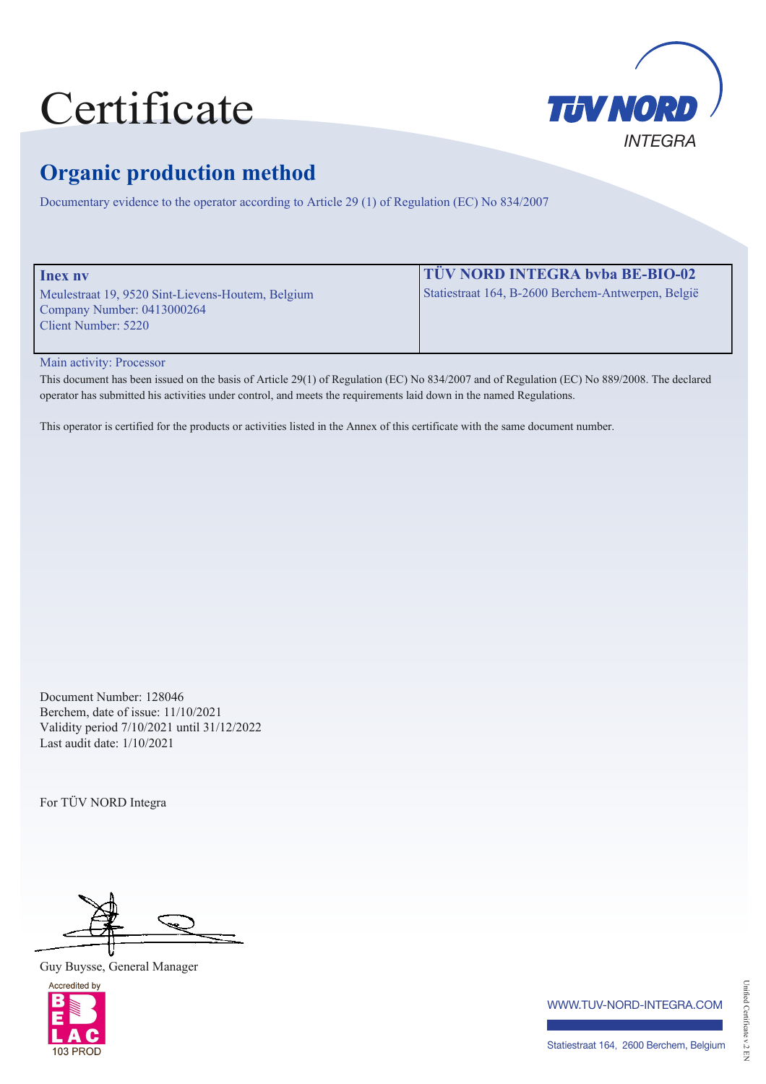## Certificate



## **Organic production method**

Documentary evidence to the operator according to Article 29 (1) of Regulation (EC) No 834/2007

| <b>Inex nv</b>                                    | <b>TÜV NORD INTEGRA byba BE-BIO-02</b>             |
|---------------------------------------------------|----------------------------------------------------|
| Meulestraat 19, 9520 Sint-Lievens-Houtem, Belgium | Statiestraat 164, B-2600 Berchem-Antwerpen, België |
| Company Number: $0413000264$                      |                                                    |
| Client Number: 5220                               |                                                    |
|                                                   |                                                    |

Main activity: Processor

This document has been issued on the basis of Article 29(1) of Regulation (EC) No 834/2007 and of Regulation (EC) No 889/2008. The declared operator has submitted his activities under control, and meets the requirements laid down in the named Regulations.

This operator is certified for the products or activities listed in the Annex of this certificate with the same document number.

Document Number: 128046 Berchem, date of issue: 11/10/2021 Validity period 7/10/2021 until 31/12/2022 Last audit date: 1/10/2021

For TÜV NORD Integra

Guy Buysse, General Manager



www.tuv-nord-integra.com